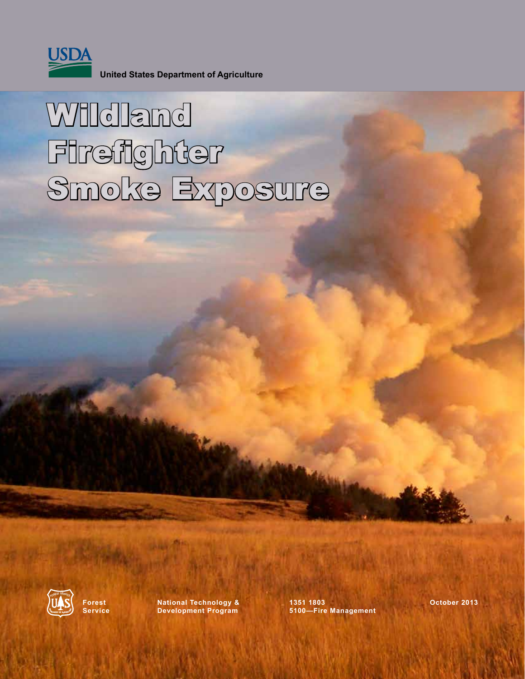

**United States Department of Agriculture**

# **Willdland** Firefighter Smoke Exposure



**Forest National Technology & 1351 1803 October 2013 Service Development Program 5100—Fire Management**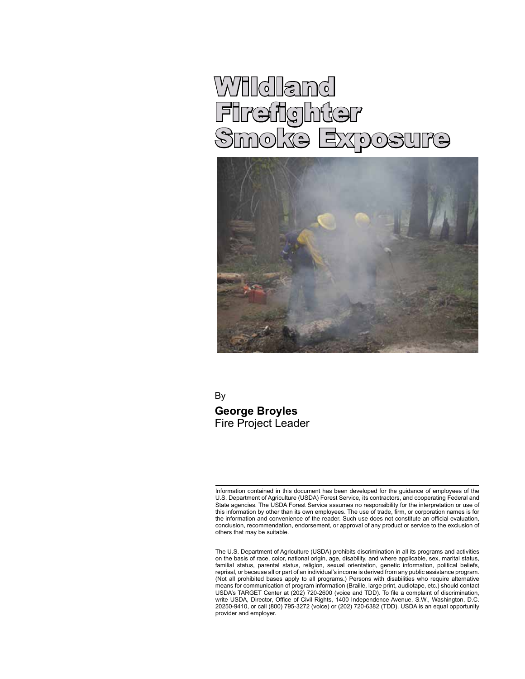# Wildland Firefighter<br>Smoke Exr Smoke Expost



By **George Broyles** Fire Project Leader

Information contained in this document has been developed for the guidance of employees of the U.S. Department of Agriculture (USDA) Forest Service, its contractors, and cooperating Federal and State agencies. The USDA Forest Service assumes no responsibility for the interpretation or use of this information by other than its own employees. The use of trade, firm, or corporation names is for the information and convenience of the reader. Such use does not constitute an official evaluation, conclusion, recommendation, endorsement, or approval of any product or service to the exclusion of others that may be suitable.

The U.S. Department of Agriculture (USDA) prohibits discrimination in all its programs and activities on the basis of race, color, national origin, age, disability, and where applicable, sex, marital status, familial status, parental status, religion, sexual orientation, genetic information, political beliefs, reprisal, or because all or part of an individual's income is derived from any public assistance program. (Not all prohibited bases apply to all programs.) Persons with disabilities who require alternative means for communication of program information (Braille, large print, audiotape, etc.) should contact USDA's TARGET Center at (202) 720-2600 (voice and TDD). To file a complaint of discrimination, write USDA, Director, Office of Civil Rights, 1400 Independence Avenue, S.W., Washington, D.C. 20250-9410, or call (800) 795-3272 (voice) or (202) 720-6382 (TDD). USDA is an equal opportunity provider and employer.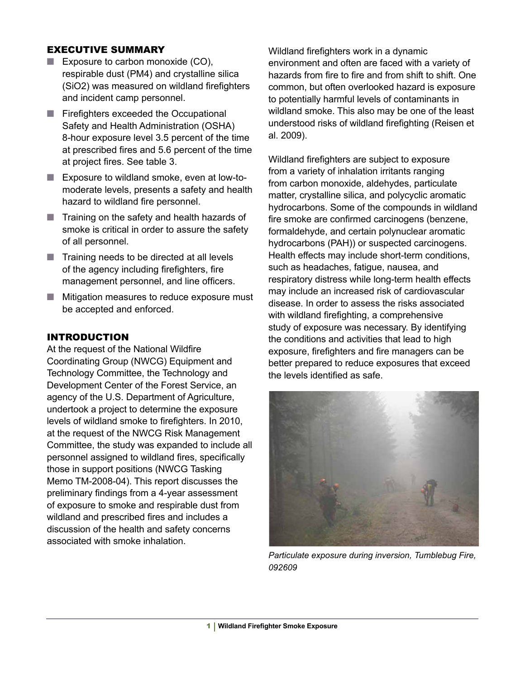#### EXECUTIVE SUMMARY

- Exposure to carbon monoxide (CO), respirable dust (PM4) and crystalline silica (SiO2) was measured on wildland firefighters and incident camp personnel.
- Firefighters exceeded the Occupational Safety and Health Administration (OSHA) 8-hour exposure level 3.5 percent of the time at prescribed fires and 5.6 percent of the time at project fires. See table 3.
- Exposure to wildland smoke, even at low-tomoderate levels, presents a safety and health hazard to wildland fire personnel.
- Training on the safety and health hazards of smoke is critical in order to assure the safety of all personnel.
- Training needs to be directed at all levels of the agency including firefighters, fire management personnel, and line officers.
- Mitigation measures to reduce exposure must be accepted and enforced.

#### INTRODUCTION

At the request of the National Wildfire Coordinating Group (NWCG) Equipment and Technology Committee, the Technology and Development Center of the Forest Service, an agency of the U.S. Department of Agriculture, undertook a project to determine the exposure levels of wildland smoke to firefighters. In 2010, at the request of the NWCG Risk Management Committee, the study was expanded to include all personnel assigned to wildland fires, specifically those in support positions (NWCG Tasking Memo TM-2008-04). This report discusses the preliminary findings from a 4-year assessment of exposure to smoke and respirable dust from wildland and prescribed fires and includes a discussion of the health and safety concerns associated with smoke inhalation.

Wildland firefighters work in a dynamic environment and often are faced with a variety of hazards from fire to fire and from shift to shift. One common, but often overlooked hazard is exposure to potentially harmful levels of contaminants in wildland smoke. This also may be one of the least understood risks of wildland firefighting (Reisen et al. 2009).

Wildland firefighters are subject to exposure from a variety of inhalation irritants ranging from carbon monoxide, aldehydes, particulate matter, crystalline silica, and polycyclic aromatic hydrocarbons. Some of the compounds in wildland fire smoke are confirmed carcinogens (benzene, formaldehyde, and certain polynuclear aromatic hydrocarbons (PAH)) or suspected carcinogens. Health effects may include short-term conditions, such as headaches, fatigue, nausea, and respiratory distress while long-term health effects may include an increased risk of cardiovascular disease. In order to assess the risks associated with wildland firefighting, a comprehensive study of exposure was necessary. By identifying the conditions and activities that lead to high exposure, firefighters and fire managers can be better prepared to reduce exposures that exceed the levels identified as safe.



*Particulate exposure during inversion, Tumblebug Fire, 092609*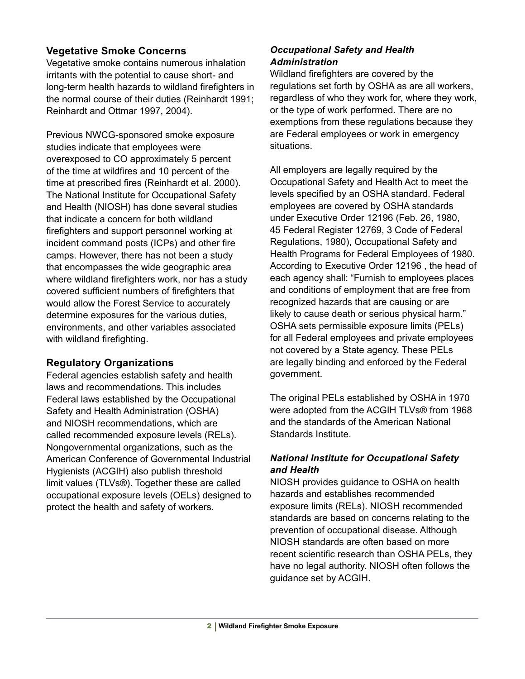# **Vegetative Smoke Concerns**

Vegetative smoke contains numerous inhalation irritants with the potential to cause short- and long-term health hazards to wildland firefighters in the normal course of their duties (Reinhardt 1991; Reinhardt and Ottmar 1997, 2004).

Previous NWCG-sponsored smoke exposure studies indicate that employees were overexposed to CO approximately 5 percent of the time at wildfires and 10 percent of the time at prescribed fires (Reinhardt et al. 2000). The National Institute for Occupational Safety and Health (NIOSH) has done several studies that indicate a concern for both wildland firefighters and support personnel working at incident command posts (ICPs) and other fire camps. However, there has not been a study that encompasses the wide geographic area where wildland firefighters work, nor has a study covered sufficient numbers of firefighters that would allow the Forest Service to accurately determine exposures for the various duties, environments, and other variables associated with wildland firefighting.

# **Regulatory Organizations**

Federal agencies establish safety and health laws and recommendations. This includes Federal laws established by the Occupational Safety and Health Administration (OSHA) and NIOSH recommendations, which are called recommended exposure levels (RELs). Nongovernmental organizations, such as the American Conference of Governmental Industrial Hygienists (ACGIH) also publish threshold limit values (TLVs®). Together these are called occupational exposure levels (OELs) designed to protect the health and safety of workers.

#### *Occupational Safety and Health Administration*

Wildland firefighters are covered by the regulations set forth by OSHA as are all workers, regardless of who they work for, where they work, or the type of work performed. There are no exemptions from these regulations because they are Federal employees or work in emergency situations.

All employers are legally required by the Occupational Safety and Health Act to meet the levels specified by an OSHA standard. Federal employees are covered by OSHA standards under Executive Order 12196 (Feb. 26, 1980, 45 Federal Register 12769, 3 Code of Federal Regulations, 1980), Occupational Safety and Health Programs for Federal Employees of 1980. According to Executive Order 12196 , the head of each agency shall: "Furnish to employees places and conditions of employment that are free from recognized hazards that are causing or are likely to cause death or serious physical harm." OSHA sets permissible exposure limits (PELs) for all Federal employees and private employees not covered by a State agency. These PELs are legally binding and enforced by the Federal government.

The original PELs established by OSHA in 1970 were adopted from the ACGIH TLVs® from 1968 and the standards of the American National Standards Institute.

#### *National Institute for Occupational Safety and Health*

NIOSH provides guidance to OSHA on health hazards and establishes recommended exposure limits (RELs). NIOSH recommended standards are based on concerns relating to the prevention of occupational disease. Although NIOSH standards are often based on more recent scientific research than OSHA PELs, they have no legal authority. NIOSH often follows the guidance set by ACGIH.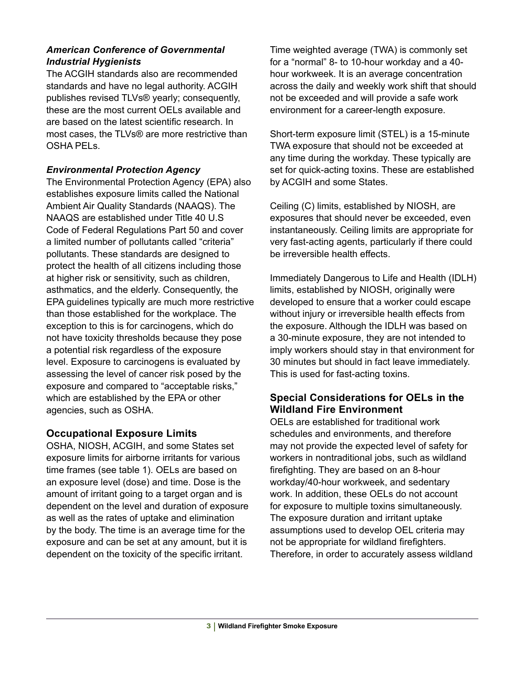#### *American Conference of Governmental Industrial Hygienists*

The ACGIH standards also are recommended standards and have no legal authority. ACGIH publishes revised TLVs® yearly; consequently, these are the most current OELs available and are based on the latest scientific research. In most cases, the TLVs® are more restrictive than OSHA PELs.

#### *Environmental Protection Agency*

The Environmental Protection Agency (EPA) also establishes exposure limits called the National Ambient Air Quality Standards (NAAQS). The NAAQS are established under Title 40 U.S Code of Federal Regulations Part 50 and cover a limited number of pollutants called "criteria" pollutants. These standards are designed to protect the health of all citizens including those at higher risk or sensitivity, such as children, asthmatics, and the elderly. Consequently, the EPA guidelines typically are much more restrictive than those established for the workplace. The exception to this is for carcinogens, which do not have toxicity thresholds because they pose a potential risk regardless of the exposure level. Exposure to carcinogens is evaluated by assessing the level of cancer risk posed by the exposure and compared to "acceptable risks," which are established by the EPA or other agencies, such as OSHA.

# **Occupational Exposure Limits**

OSHA, NIOSH, ACGIH, and some States set exposure limits for airborne irritants for various time frames (see table 1). OELs are based on an exposure level (dose) and time. Dose is the amount of irritant going to a target organ and is dependent on the level and duration of exposure as well as the rates of uptake and elimination by the body. The time is an average time for the exposure and can be set at any amount, but it is dependent on the toxicity of the specific irritant.

Time weighted average (TWA) is commonly set for a "normal" 8- to 10-hour workday and a 40 hour workweek. It is an average concentration across the daily and weekly work shift that should not be exceeded and will provide a safe work environment for a career-length exposure.

Short-term exposure limit (STEL) is a 15-minute TWA exposure that should not be exceeded at any time during the workday. These typically are set for quick-acting toxins. These are established by ACGIH and some States.

Ceiling (C) limits, established by NIOSH, are exposures that should never be exceeded, even instantaneously. Ceiling limits are appropriate for very fast-acting agents, particularly if there could be irreversible health effects.

Immediately Dangerous to Life and Health (IDLH) limits, established by NIOSH, originally were developed to ensure that a worker could escape without injury or irreversible health effects from the exposure. Although the IDLH was based on a 30-minute exposure, they are not intended to imply workers should stay in that environment for 30 minutes but should in fact leave immediately. This is used for fast-acting toxins.

# **Special Considerations for OELs in the Wildland Fire Environment**

OELs are established for traditional work schedules and environments, and therefore may not provide the expected level of safety for workers in nontraditional jobs, such as wildland firefighting. They are based on an 8-hour workday/40-hour workweek, and sedentary work. In addition, these OELs do not account for exposure to multiple toxins simultaneously. The exposure duration and irritant uptake assumptions used to develop OEL criteria may not be appropriate for wildland firefighters. Therefore, in order to accurately assess wildland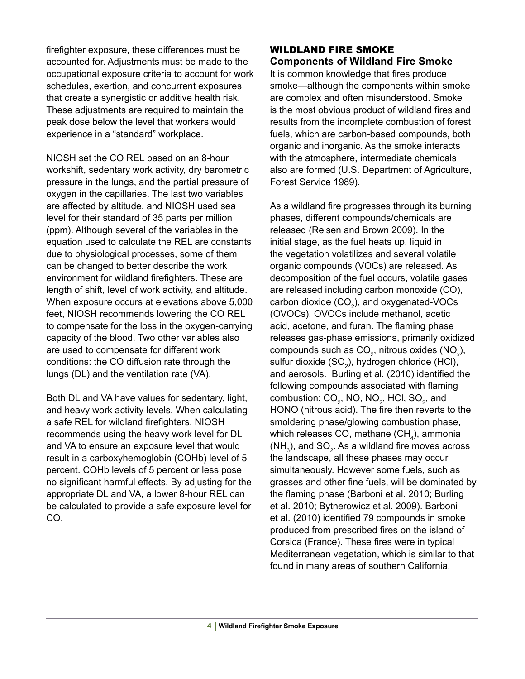firefighter exposure, these differences must be accounted for. Adjustments must be made to the occupational exposure criteria to account for work schedules, exertion, and concurrent exposures that create a synergistic or additive health risk. These adjustments are required to maintain the peak dose below the level that workers would experience in a "standard" workplace.

NIOSH set the CO REL based on an 8-hour workshift, sedentary work activity, dry barometric pressure in the lungs, and the partial pressure of oxygen in the capillaries. The last two variables are affected by altitude, and NIOSH used sea level for their standard of 35 parts per million (ppm). Although several of the variables in the equation used to calculate the REL are constants due to physiological processes, some of them can be changed to better describe the work environment for wildland firefighters. These are length of shift, level of work activity, and altitude. When exposure occurs at elevations above 5,000 feet, NIOSH recommends lowering the CO REL to compensate for the loss in the oxygen-carrying capacity of the blood. Two other variables also are used to compensate for different work conditions: the CO diffusion rate through the lungs (DL) and the ventilation rate (VA).

Both DL and VA have values for sedentary, light, and heavy work activity levels. When calculating a safe REL for wildland firefighters, NIOSH recommends using the heavy work level for DL and VA to ensure an exposure level that would result in a carboxyhemoglobin (COHb) level of 5 percent. COHb levels of 5 percent or less pose no significant harmful effects. By adjusting for the appropriate DL and VA, a lower 8-hour REL can be calculated to provide a safe exposure level for CO.

#### WILDLAND FIRE SMOKE **Components of Wildland Fire Smoke**

It is common knowledge that fires produce smoke—although the components within smoke are complex and often misunderstood. Smoke is the most obvious product of wildland fires and results from the incomplete combustion of forest fuels, which are carbon-based compounds, both organic and inorganic. As the smoke interacts with the atmosphere, intermediate chemicals also are formed (U.S. Department of Agriculture, Forest Service 1989).

As a wildland fire progresses through its burning phases, different compounds/chemicals are released (Reisen and Brown 2009). In the initial stage, as the fuel heats up, liquid in the vegetation volatilizes and several volatile organic compounds (VOCs) are released. As decomposition of the fuel occurs, volatile gases are released including carbon monoxide (CO), carbon dioxide (CO $_2$ ), and oxygenated-VOCs (OVOCs). OVOCs include methanol, acetic acid, acetone, and furan. The flaming phase releases gas-phase emissions, primarily oxidized compounds such as CO<sub>2</sub>, nitrous oxides (NO<sub>x</sub>), sulfur dioxide (SO $_{\textrm{\tiny{2}}}$ ), hydrogen chloride (HCI), and aerosols. Burling et al. (2010) identified the following compounds associated with flaming combustion:  $CO_2$ , NO, NO<sub>2</sub>, HCl, SO<sub>2</sub>, and HONO (nitrous acid). The fire then reverts to the smoldering phase/glowing combustion phase, which releases CO, methane (CH $_4$ ), ammonia (NH<sub>3</sub>), and SO<sub>2</sub>. As a wildland fire moves across the landscape, all these phases may occur simultaneously. However some fuels, such as grasses and other fine fuels, will be dominated by the flaming phase (Barboni et al. 2010; Burling et al. 2010; Bytnerowicz et al. 2009). Barboni et al. (2010) identified 79 compounds in smoke produced from prescribed fires on the island of Corsica (France). These fires were in typical Mediterranean vegetation, which is similar to that found in many areas of southern California.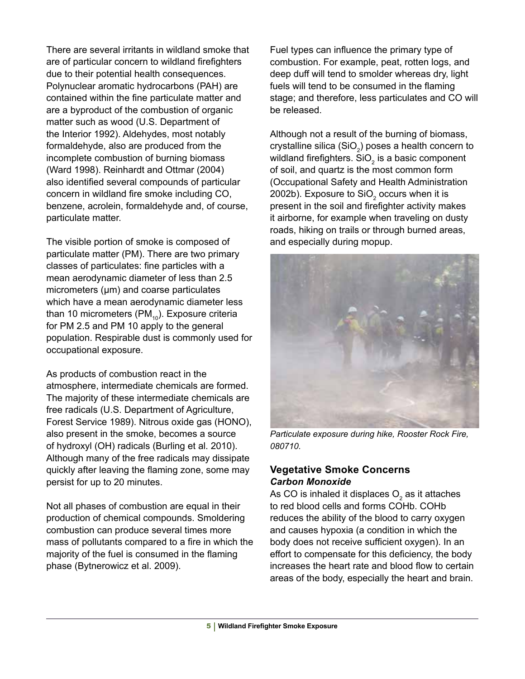There are several irritants in wildland smoke that are of particular concern to wildland firefighters due to their potential health consequences. Polynuclear aromatic hydrocarbons (PAH) are contained within the fine particulate matter and are a byproduct of the combustion of organic matter such as wood (U.S. Department of the Interior 1992). Aldehydes, most notably formaldehyde, also are produced from the incomplete combustion of burning biomass (Ward 1998). Reinhardt and Ottmar (2004) also identified several compounds of particular concern in wildland fire smoke including CO, benzene, acrolein, formaldehyde and, of course, particulate matter.

The visible portion of smoke is composed of particulate matter (PM). There are two primary classes of particulates: fine particles with a mean aerodynamic diameter of less than 2.5 micrometers ( $\mu$ m) and coarse particulates which have a mean aerodynamic diameter less than 10 micrometers (PM $_{10}$ ). Exposure criteria for PM 2.5 and PM 10 apply to the general population. Respirable dust is commonly used for occupational exposure.

As products of combustion react in the atmosphere, intermediate chemicals are formed. The majority of these intermediate chemicals are free radicals (U.S. Department of Agriculture, Forest Service 1989). Nitrous oxide gas (HONO), also present in the smoke, becomes a source of hydroxyl (OH) radicals (Burling et al. 2010). Although many of the free radicals may dissipate quickly after leaving the flaming zone, some may persist for up to 20 minutes.

Not all phases of combustion are equal in their production of chemical compounds. Smoldering combustion can produce several times more mass of pollutants compared to a fire in which the majority of the fuel is consumed in the flaming phase (Bytnerowicz et al. 2009).

Fuel types can influence the primary type of combustion. For example, peat, rotten logs, and deep duff will tend to smolder whereas dry, light fuels will tend to be consumed in the flaming stage; and therefore, less particulates and CO will be released.

Although not a result of the burning of biomass, crystalline silica (SiO $_{\textrm{\tiny{2}}}$ ) poses a health concern to wildland firefighters. SiO $_2$  is a basic component of soil, and quartz is the most common form (Occupational Safety and Health Administration 2002b). Exposure to SiO $_2$  occurs when it is present in the soil and firefighter activity makes it airborne, for example when traveling on dusty roads, hiking on trails or through burned areas, and especially during mopup.



*Particulate exposure during hike, Rooster Rock Fire, 080710.*

#### **Vegetative Smoke Concerns** *Carbon Monoxide*

As CO is inhaled it displaces  $\mathsf{O}_2$  as it attaches to red blood cells and forms COHb. COHb reduces the ability of the blood to carry oxygen and causes hypoxia (a condition in which the body does not receive sufficient oxygen). In an effort to compensate for this deficiency, the body increases the heart rate and blood flow to certain areas of the body, especially the heart and brain.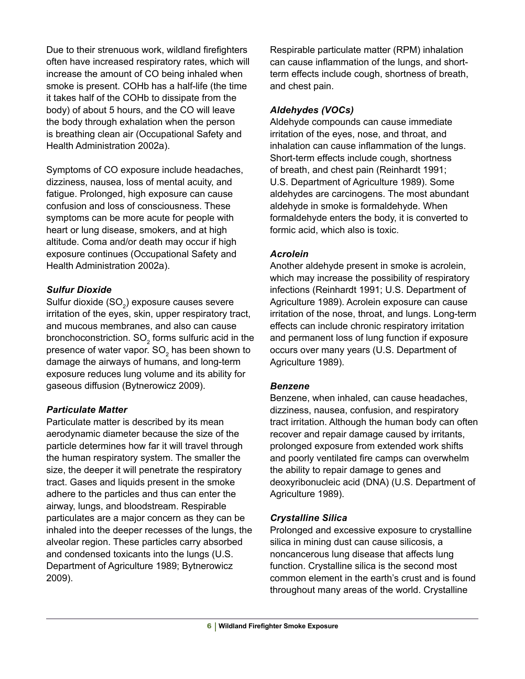Due to their strenuous work, wildland firefighters often have increased respiratory rates, which will increase the amount of CO being inhaled when smoke is present. COHb has a half-life (the time it takes half of the COHb to dissipate from the body) of about 5 hours, and the CO will leave the body through exhalation when the person is breathing clean air (Occupational Safety and Health Administration 2002a).

Symptoms of CO exposure include headaches, dizziness, nausea, loss of mental acuity, and fatigue. Prolonged, high exposure can cause confusion and loss of consciousness. These symptoms can be more acute for people with heart or lung disease, smokers, and at high altitude. Coma and/or death may occur if high exposure continues (Occupational Safety and Health Administration 2002a).

#### *Sulfur Dioxide*

Sulfur dioxide (SO $_{\rm 2}$ ) exposure causes severe irritation of the eyes, skin, upper respiratory tract, and mucous membranes, and also can cause bronchoconstriction.  $\mathrm{SO}_2$  forms sulfuric acid in the presence of water vapor. SO<sub>2</sub> has been shown to damage the airways of humans, and long-term exposure reduces lung volume and its ability for gaseous diffusion (Bytnerowicz 2009).

#### *Particulate Matter*

Particulate matter is described by its mean aerodynamic diameter because the size of the particle determines how far it will travel through the human respiratory system. The smaller the size, the deeper it will penetrate the respiratory tract. Gases and liquids present in the smoke adhere to the particles and thus can enter the airway, lungs, and bloodstream. Respirable particulates are a major concern as they can be inhaled into the deeper recesses of the lungs, the alveolar region. These particles carry absorbed and condensed toxicants into the lungs (U.S. Department of Agriculture 1989; Bytnerowicz 2009).

Respirable particulate matter (RPM) inhalation can cause inflammation of the lungs, and shortterm effects include cough, shortness of breath, and chest pain.

#### *Aldehydes (VOCs)*

Aldehyde compounds can cause immediate irritation of the eyes, nose, and throat, and inhalation can cause inflammation of the lungs. Short-term effects include cough, shortness of breath, and chest pain (Reinhardt 1991; U.S. Department of Agriculture 1989). Some aldehydes are carcinogens. The most abundant aldehyde in smoke is formaldehyde. When formaldehyde enters the body, it is converted to formic acid, which also is toxic.

#### *Acrolein*

Another aldehyde present in smoke is acrolein, which may increase the possibility of respiratory infections (Reinhardt 1991; U.S. Department of Agriculture 1989). Acrolein exposure can cause irritation of the nose, throat, and lungs. Long-term effects can include chronic respiratory irritation and permanent loss of lung function if exposure occurs over many years (U.S. Department of Agriculture 1989).

#### *Benzene*

Benzene, when inhaled, can cause headaches, dizziness, nausea, confusion, and respiratory tract irritation. Although the human body can often recover and repair damage caused by irritants, prolonged exposure from extended work shifts and poorly ventilated fire camps can overwhelm the ability to repair damage to genes and deoxyribonucleic acid (DNA) (U.S. Department of Agriculture 1989).

#### *Crystalline Silica*

Prolonged and excessive exposure to crystalline silica in mining dust can cause silicosis, a noncancerous lung disease that affects lung function. Crystalline silica is the second most common element in the earth's crust and is found throughout many areas of the world. Crystalline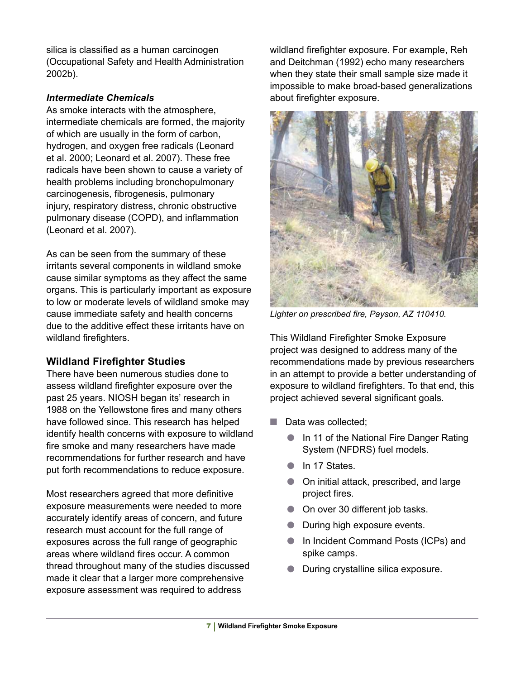silica is classified as a human carcinogen (Occupational Safety and Health Administration 2002b).

#### *Intermediate Chemicals*

As smoke interacts with the atmosphere, intermediate chemicals are formed, the majority of which are usually in the form of carbon, hydrogen, and oxygen free radicals (Leonard et al. 2000; Leonard et al. 2007). These free radicals have been shown to cause a variety of health problems including bronchopulmonary carcinogenesis, fibrogenesis, pulmonary injury, respiratory distress, chronic obstructive pulmonary disease (COPD), and inflammation (Leonard et al. 2007).

As can be seen from the summary of these irritants several components in wildland smoke cause similar symptoms as they affect the same organs. This is particularly important as exposure to low or moderate levels of wildland smoke may cause immediate safety and health concerns due to the additive effect these irritants have on wildland firefighters.

# **Wildland Firefighter Studies**

There have been numerous studies done to assess wildland firefighter exposure over the past 25 years. NIOSH began its' research in 1988 on the Yellowstone fires and many others have followed since. This research has helped identify health concerns with exposure to wildland fire smoke and many researchers have made recommendations for further research and have put forth recommendations to reduce exposure.

Most researchers agreed that more definitive exposure measurements were needed to more accurately identify areas of concern, and future research must account for the full range of exposures across the full range of geographic areas where wildland fires occur. A common thread throughout many of the studies discussed made it clear that a larger more comprehensive exposure assessment was required to address

wildland firefighter exposure. For example, Reh and Deitchman (1992) echo many researchers when they state their small sample size made it impossible to make broad-based generalizations about firefighter exposure.



*Lighter on prescribed fire, Payson, AZ 110410.*

This Wildland Firefighter Smoke Exposure project was designed to address many of the recommendations made by previous researchers in an attempt to provide a better understanding of exposure to wildland firefighters. To that end, this project achieved several significant goals.

- Data was collected:
	- In 11 of the National Fire Danger Rating System (NFDRS) fuel models.
	- In 17 States.
	- On initial attack, prescribed, and large project fires.
	- On over 30 different job tasks.
	- During high exposure events.
	- In Incident Command Posts (ICPs) and spike camps.
	- During crystalline silica exposure.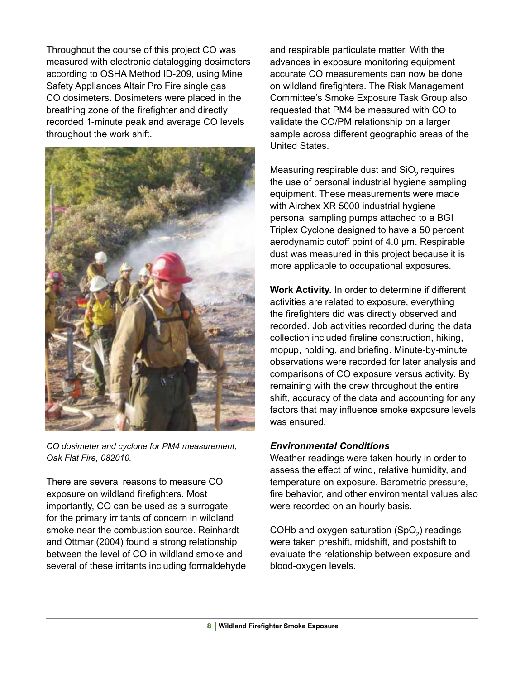Throughout the course of this project CO was measured with electronic datalogging dosimeters according to OSHA Method ID-209, using Mine Safety Appliances Altair Pro Fire single gas CO dosimeters. Dosimeters were placed in the breathing zone of the firefighter and directly recorded 1-minute peak and average CO levels throughout the work shift.



*CO dosimeter and cyclone for PM4 measurement, Oak Flat Fire, 082010.*

There are several reasons to measure CO exposure on wildland firefighters. Most importantly, CO can be used as a surrogate for the primary irritants of concern in wildland smoke near the combustion source. Reinhardt and Ottmar (2004) found a strong relationship between the level of CO in wildland smoke and several of these irritants including formaldehyde and respirable particulate matter. With the advances in exposure monitoring equipment accurate CO measurements can now be done on wildland firefighters. The Risk Management Committee's Smoke Exposure Task Group also requested that PM4 be measured with CO to validate the CO/PM relationship on a larger sample across different geographic areas of the United States.

Measuring respirable dust and SiO<sub>2</sub> requires the use of personal industrial hygiene sampling equipment. These measurements were made with Airchex XR 5000 industrial hygiene personal sampling pumps attached to a BGI Triplex Cyclone designed to have a 50 percent aerodynamic cutoff point of 4.0 µm. Respirable dust was measured in this project because it is more applicable to occupational exposures.

**Work Activity.** In order to determine if different activities are related to exposure, everything the firefighters did was directly observed and recorded. Job activities recorded during the data collection included fireline construction, hiking, mopup, holding, and briefing. Minute-by-minute observations were recorded for later analysis and comparisons of CO exposure versus activity. By remaining with the crew throughout the entire shift, accuracy of the data and accounting for any factors that may influence smoke exposure levels was ensured.

#### *Environmental Conditions*

Weather readings were taken hourly in order to assess the effect of wind, relative humidity, and temperature on exposure. Barometric pressure, fire behavior, and other environmental values also were recorded on an hourly basis.

COHb and oxygen saturation (SpO<sub>2</sub>) readings were taken preshift, midshift, and postshift to evaluate the relationship between exposure and blood-oxygen levels.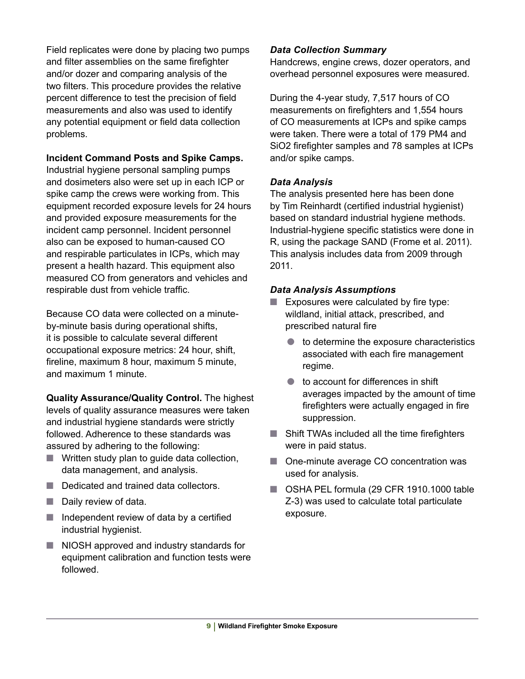Field replicates were done by placing two pumps and filter assemblies on the same firefighter and/or dozer and comparing analysis of the two filters. This procedure provides the relative percent difference to test the precision of field measurements and also was used to identify any potential equipment or field data collection problems.

#### **Incident Command Posts and Spike Camps.**

Industrial hygiene personal sampling pumps and dosimeters also were set up in each ICP or spike camp the crews were working from. This equipment recorded exposure levels for 24 hours and provided exposure measurements for the incident camp personnel. Incident personnel also can be exposed to human-caused CO and respirable particulates in ICPs, which may present a health hazard. This equipment also measured CO from generators and vehicles and respirable dust from vehicle traffic.

Because CO data were collected on a minuteby-minute basis during operational shifts, it is possible to calculate several different occupational exposure metrics: 24 hour, shift, fireline, maximum 8 hour, maximum 5 minute, and maximum 1 minute.

**Quality Assurance/Quality Control.** The highest levels of quality assurance measures were taken and industrial hygiene standards were strictly followed. Adherence to these standards was assured by adhering to the following:

- Written study plan to quide data collection, data management, and analysis.
- Dedicated and trained data collectors.
- Daily review of data.
- Independent review of data by a certified industrial hygienist.
- NIOSH approved and industry standards for equipment calibration and function tests were followed.

#### *Data Collection Summary*

Handcrews, engine crews, dozer operators, and overhead personnel exposures were measured.

During the 4-year study, 7,517 hours of CO measurements on firefighters and 1,554 hours of CO measurements at ICPs and spike camps were taken. There were a total of 179 PM4 and SiO2 firefighter samples and 78 samples at ICPs and/or spike camps.

#### *Data Analysis*

The analysis presented here has been done by Tim Reinhardt (certified industrial hygienist) based on standard industrial hygiene methods. Industrial-hygiene specific statistics were done in R, using the package SAND (Frome et al. 2011). This analysis includes data from 2009 through 2011.

#### *Data Analysis Assumptions*

- $\blacksquare$  Exposures were calculated by fire type: wildland, initial attack, prescribed, and prescribed natural fire
	- to determine the exposure characteristics associated with each fire management regime.
	- to account for differences in shift averages impacted by the amount of time firefighters were actually engaged in fire suppression.
- Shift TWAs included all the time firefighters were in paid status.
- One-minute average CO concentration was used for analysis.
- OSHA PEL formula (29 CFR 1910.1000 table Z-3) was used to calculate total particulate exposure.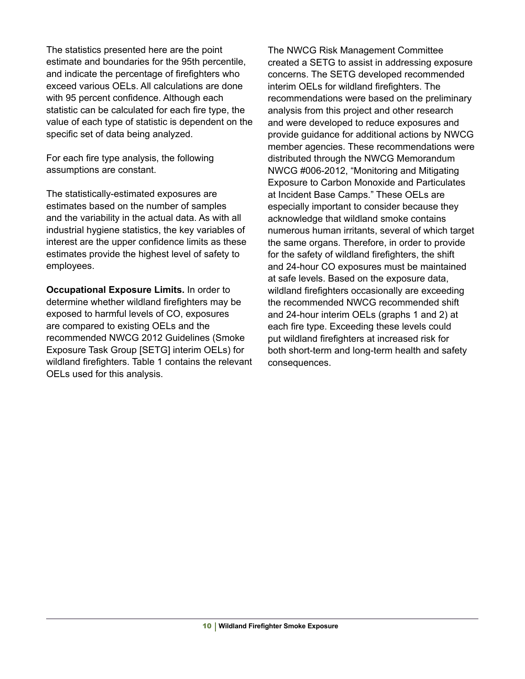The statistics presented here are the point estimate and boundaries for the 95th percentile, and indicate the percentage of firefighters who exceed various OELs. All calculations are done with 95 percent confidence. Although each statistic can be calculated for each fire type, the value of each type of statistic is dependent on the specific set of data being analyzed.

For each fire type analysis, the following assumptions are constant.

The statistically-estimated exposures are estimates based on the number of samples and the variability in the actual data. As with all industrial hygiene statistics, the key variables of interest are the upper confidence limits as these estimates provide the highest level of safety to employees.

**Occupational Exposure Limits.** In order to determine whether wildland firefighters may be exposed to harmful levels of CO, exposures are compared to existing OELs and the recommended NWCG 2012 Guidelines (Smoke Exposure Task Group [SETG] interim OELs) for wildland firefighters. Table 1 contains the relevant OELs used for this analysis.

The NWCG Risk Management Committee created a SETG to assist in addressing exposure concerns. The SETG developed recommended interim OELs for wildland firefighters. The recommendations were based on the preliminary analysis from this project and other research and were developed to reduce exposures and provide guidance for additional actions by NWCG member agencies. These recommendations were distributed through the NWCG Memorandum NWCG #006-2012, "Monitoring and Mitigating Exposure to Carbon Monoxide and Particulates at Incident Base Camps." These OELs are especially important to consider because they acknowledge that wildland smoke contains numerous human irritants, several of which target the same organs. Therefore, in order to provide for the safety of wildland firefighters, the shift and 24-hour CO exposures must be maintained at safe levels. Based on the exposure data, wildland firefighters occasionally are exceeding the recommended NWCG recommended shift and 24-hour interim OELs (graphs 1 and 2) at each fire type. Exceeding these levels could put wildland firefighters at increased risk for both short-term and long-term health and safety consequences.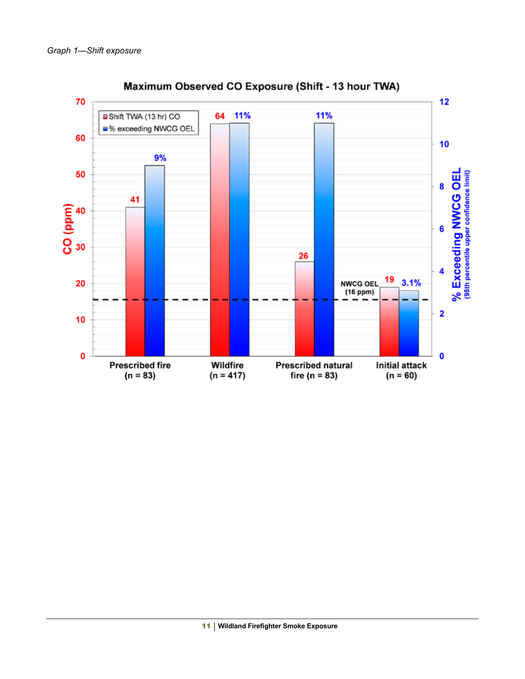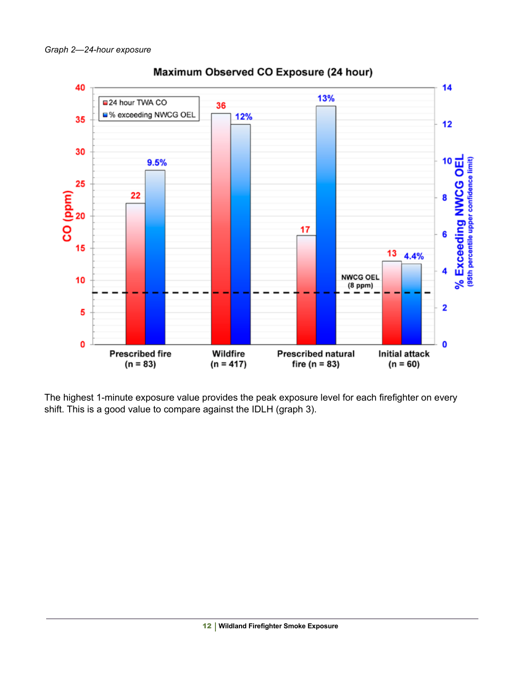

Maximum Observed CO Exposure (24 hour)

The highest 1-minute exposure value provides the peak exposure level for each firefighter on every shift. This is a good value to compare against the IDLH (graph 3).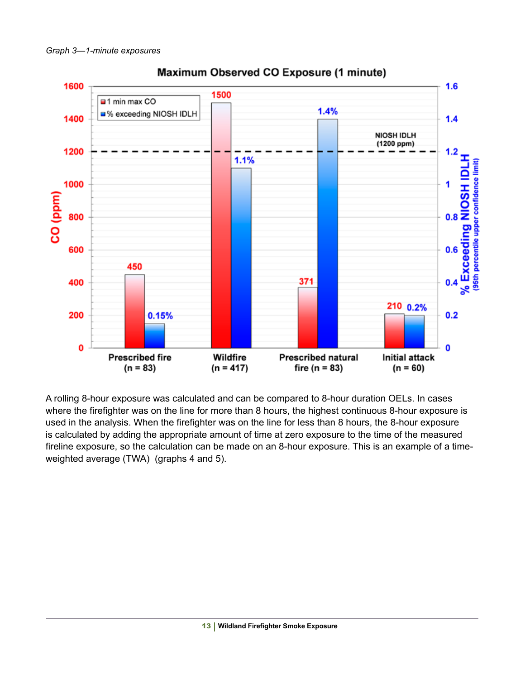

# Maximum Observed CO Exposure (1 minute)

A rolling 8-hour exposure was calculated and can be compared to 8-hour duration OELs. In cases where the firefighter was on the line for more than 8 hours, the highest continuous 8-hour exposure is used in the analysis. When the firefighter was on the line for less than 8 hours, the 8-hour exposure is calculated by adding the appropriate amount of time at zero exposure to the time of the measured fireline exposure, so the calculation can be made on an 8-hour exposure. This is an example of a timeweighted average (TWA) (graphs 4 and 5).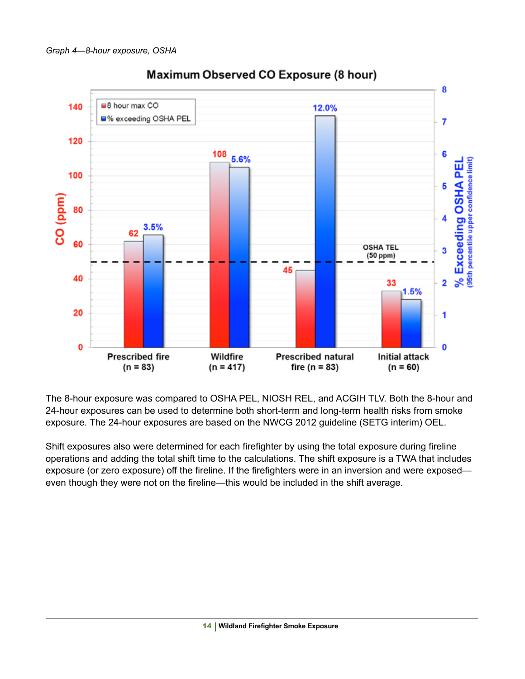

# Maximum Observed CO Exposure (8 hour)

The 8-hour exposure was compared to OSHA PEL, NIOSH REL, and ACGIH TLV. Both the 8-hour and 24-hour exposures can be used to determine both short-term and long-term health risks from smoke exposure. The 24-hour exposures are based on the NWCG 2012 guideline (SETG interim) OEL.

Shift exposures also were determined for each firefighter by using the total exposure during fireline operations and adding the total shift time to the calculations. The shift exposure is a TWA that includes exposure (or zero exposure) off the fireline. If the firefighters were in an inversion and were exposed even though they were not on the fireline—this would be included in the shift average.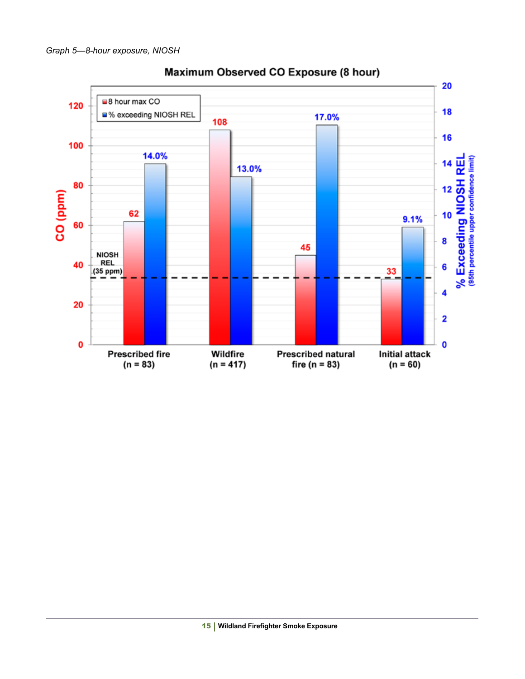

# Maximum Observed CO Exposure (8 hour)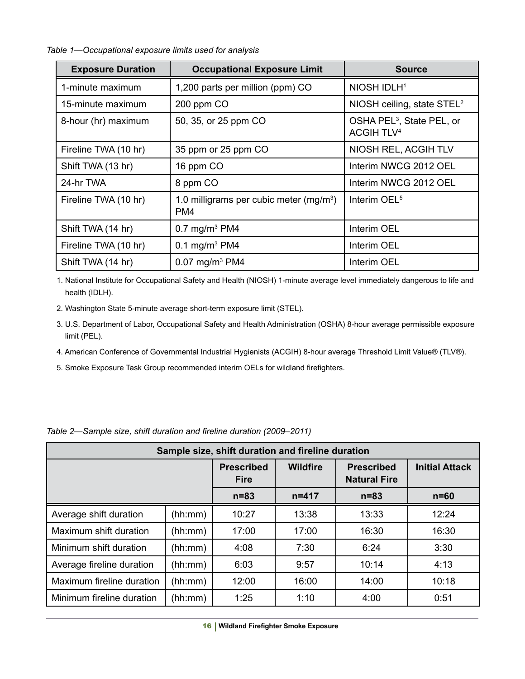*Table 1—Occupational exposure limits used for analysis*

| <b>Exposure Duration</b> | <b>Occupational Exposure Limit</b>              | <b>Source</b>                                                         |  |
|--------------------------|-------------------------------------------------|-----------------------------------------------------------------------|--|
| 1-minute maximum         | 1,200 parts per million (ppm) CO                | NIOSH IDLH <sup>1</sup>                                               |  |
| 15-minute maximum        | 200 ppm CO                                      | NIOSH ceiling, state STEL <sup>2</sup>                                |  |
| 8-hour (hr) maximum      | 50, 35, or 25 ppm CO                            | OSHA PEL <sup>3</sup> , State PEL, or<br><b>ACGIH TLV<sup>4</sup></b> |  |
| Fireline TWA (10 hr)     | 35 ppm or 25 ppm CO                             | NIOSH REL, ACGIH TLV                                                  |  |
| Shift TWA (13 hr)        | 16 ppm CO                                       | Interim NWCG 2012 OEL                                                 |  |
| 24-hr TWA                | 8 ppm CO                                        | Interim NWCG 2012 OEL                                                 |  |
| Fireline TWA (10 hr)     | 1.0 milligrams per cubic meter $(mg/m3)$<br>PM4 | Interim OEL <sup>5</sup>                                              |  |
| Shift TWA (14 hr)        | $0.7 \text{ mg/m}^3 \text{ PM4}$                | Interim OEL                                                           |  |
| Fireline TWA (10 hr)     | 0.1 mg/m <sup>3</sup> PM4                       | Interim OEL                                                           |  |
| Shift TWA (14 hr)        | $0.07$ mg/m <sup>3</sup> PM4                    | Interim OEL                                                           |  |

1. National Institute for Occupational Safety and Health (NIOSH) 1-minute average level immediately dangerous to life and health (IDLH).

2. Washington State 5-minute average short-term exposure limit (STEL).

3. U.S. Department of Labor, Occupational Safety and Health Administration (OSHA) 8-hour average permissible exposure limit (PEL).

4. American Conference of Governmental Industrial Hygienists (ACGIH) 8-hour average Threshold Limit Value® (TLV®).

5. Smoke Exposure Task Group recommended interim OELs for wildland firefighters.

| Sample size, shift duration and fireline duration |         |                                  |                                                             |          |                       |  |  |  |  |
|---------------------------------------------------|---------|----------------------------------|-------------------------------------------------------------|----------|-----------------------|--|--|--|--|
|                                                   |         | <b>Prescribed</b><br><b>Fire</b> | <b>Wildfire</b><br><b>Prescribed</b><br><b>Natural Fire</b> |          | <b>Initial Attack</b> |  |  |  |  |
|                                                   |         | $n = 83$                         | $n = 417$                                                   | $n = 83$ | $n = 60$              |  |  |  |  |
| Average shift duration                            | (hh:mm) | 10:27                            | 13:38                                                       | 13:33    | 12:24                 |  |  |  |  |
| Maximum shift duration                            | (hh:mm) | 17:00                            | 17:00                                                       | 16:30    | 16:30                 |  |  |  |  |
| Minimum shift duration                            | (hh:mm) | 4:08                             | 7:30                                                        | 6:24     | 3:30                  |  |  |  |  |
| Average fireline duration                         | (hh:mm) | 6:03                             | 9:57                                                        | 10:14    | 4:13                  |  |  |  |  |
| Maximum fireline duration                         | (hh:mm) | 12:00                            | 16:00                                                       | 14:00    | 10:18                 |  |  |  |  |
| Minimum fireline duration                         | (hh:mm) | 1:25                             | 1:10                                                        | 4:00     | 0:51                  |  |  |  |  |

*Table 2—Sample size, shift duration and fireline duration (2009–2011)*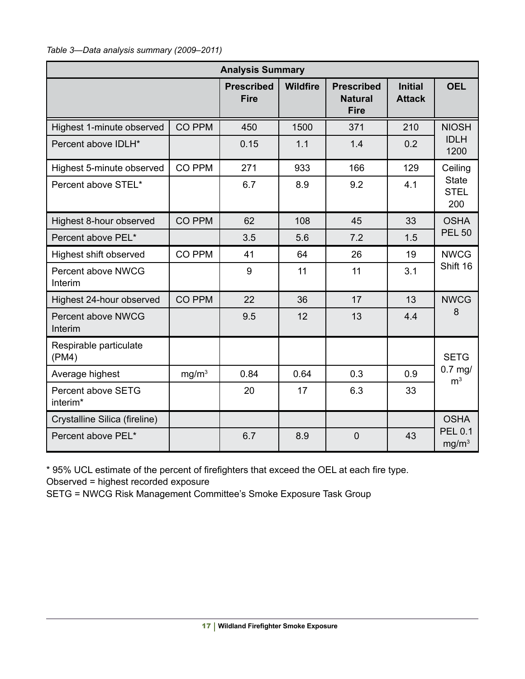*Table 3—Data analysis summary (2009–2011)*

| <b>Analysis Summary</b>              |                   |                                  |                 |                                                    |                                 |                                                    |  |  |
|--------------------------------------|-------------------|----------------------------------|-----------------|----------------------------------------------------|---------------------------------|----------------------------------------------------|--|--|
|                                      |                   | <b>Prescribed</b><br><b>Fire</b> | <b>Wildfire</b> | <b>Prescribed</b><br><b>Natural</b><br><b>Fire</b> | <b>Initial</b><br><b>Attack</b> | <b>OEL</b>                                         |  |  |
| Highest 1-minute observed            | CO PPM            | 450                              | 1500            | 371                                                | 210                             | <b>NIOSH</b><br><b>IDLH</b><br>1200                |  |  |
| Percent above IDLH*                  |                   | 0.15                             | 1.1             | 1.4                                                | 0.2                             |                                                    |  |  |
| Highest 5-minute observed            | CO PPM            | 271                              | 933             | 166                                                | 129                             | Ceiling<br><b>State</b><br><b>STEL</b><br>200      |  |  |
| Percent above STEL*                  |                   | 6.7                              | 8.9             | 9.2                                                | 4.1                             |                                                    |  |  |
| Highest 8-hour observed              | <b>CO PPM</b>     | 62                               | 108             | 45                                                 | 33                              | <b>OSHA</b><br><b>PEL 50</b>                       |  |  |
| Percent above PEL*                   |                   | 3.5                              | 5.6             | 7.2                                                | 1.5                             |                                                    |  |  |
| Highest shift observed               | CO PPM            | 41                               | 64              | 26                                                 | 19                              | <b>NWCG</b><br>Shift 16                            |  |  |
| Percent above NWCG<br>Interim        |                   | 9                                | 11              | 11                                                 | 3.1                             |                                                    |  |  |
| Highest 24-hour observed             | <b>CO PPM</b>     | 22                               | 36              | 17                                                 | 13                              | <b>NWCG</b><br>8                                   |  |  |
| <b>Percent above NWCG</b><br>Interim |                   | 9.5                              | 12              | 13                                                 | 4.4                             |                                                    |  |  |
| Respirable particulate<br>(PM4)      |                   |                                  |                 |                                                    |                                 | <b>SETG</b><br>$0.7$ mg/<br>m <sup>3</sup>         |  |  |
| Average highest                      | mg/m <sup>3</sup> | 0.84                             | 0.64            | 0.3                                                | 0.9                             |                                                    |  |  |
| Percent above SETG<br>interim*       |                   | 20                               | 17              | 6.3                                                | 33                              |                                                    |  |  |
| Crystalline Silica (fireline)        |                   |                                  |                 |                                                    |                                 | <b>OSHA</b><br><b>PEL 0.1</b><br>mg/m <sup>3</sup> |  |  |
| Percent above PEL*                   |                   | 6.7                              | 8.9             | $\mathbf 0$                                        | 43                              |                                                    |  |  |

\* 95% UCL estimate of the percent of firefighters that exceed the OEL at each fire type. Observed = highest recorded exposure

SETG = NWCG Risk Management Committee's Smoke Exposure Task Group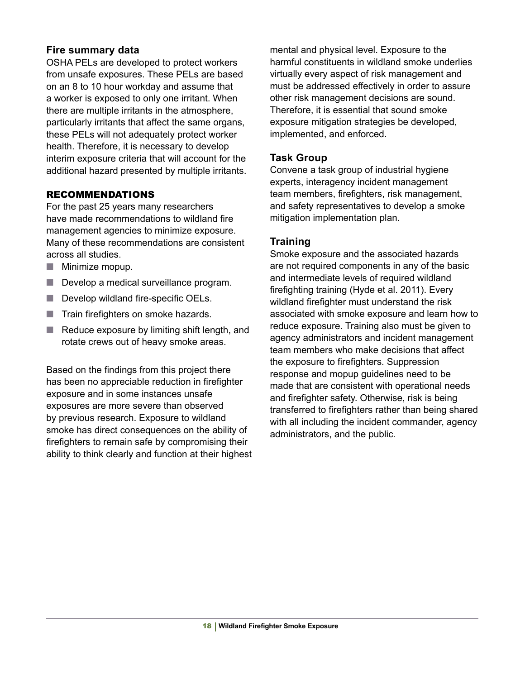#### **Fire summary data**

OSHA PELs are developed to protect workers from unsafe exposures. These PELs are based on an 8 to 10 hour workday and assume that a worker is exposed to only one irritant. When there are multiple irritants in the atmosphere, particularly irritants that affect the same organs, these PELs will not adequately protect worker health. Therefore, it is necessary to develop interim exposure criteria that will account for the additional hazard presented by multiple irritants.

#### RECOMMENDATIONS

For the past 25 years many researchers have made recommendations to wildland fire management agencies to minimize exposure. Many of these recommendations are consistent across all studies.

- Minimize mopup.
- Develop a medical surveillance program.
- Develop wildland fire-specific OELs.
- Train firefighters on smoke hazards.
- Reduce exposure by limiting shift length, and rotate crews out of heavy smoke areas.

Based on the findings from this project there has been no appreciable reduction in firefighter exposure and in some instances unsafe exposures are more severe than observed by previous research. Exposure to wildland smoke has direct consequences on the ability of firefighters to remain safe by compromising their ability to think clearly and function at their highest mental and physical level. Exposure to the harmful constituents in wildland smoke underlies virtually every aspect of risk management and must be addressed effectively in order to assure other risk management decisions are sound. Therefore, it is essential that sound smoke exposure mitigation strategies be developed, implemented, and enforced.

#### **Task Group**

Convene a task group of industrial hygiene experts, interagency incident management team members, firefighters, risk management, and safety representatives to develop a smoke mitigation implementation plan.

#### **Training**

Smoke exposure and the associated hazards are not required components in any of the basic and intermediate levels of required wildland firefighting training (Hyde et al. 2011). Every wildland firefighter must understand the risk associated with smoke exposure and learn how to reduce exposure. Training also must be given to agency administrators and incident management team members who make decisions that affect the exposure to firefighters. Suppression response and mopup guidelines need to be made that are consistent with operational needs and firefighter safety. Otherwise, risk is being transferred to firefighters rather than being shared with all including the incident commander, agency administrators, and the public.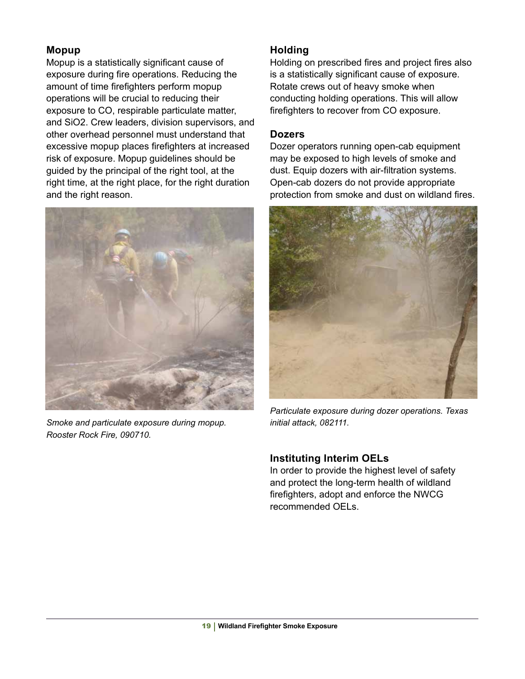#### **Mopup**

Mopup is a statistically significant cause of exposure during fire operations. Reducing the amount of time firefighters perform mopup operations will be crucial to reducing their exposure to CO, respirable particulate matter, and SiO2. Crew leaders, division supervisors, and other overhead personnel must understand that excessive mopup places firefighters at increased risk of exposure. Mopup guidelines should be guided by the principal of the right tool, at the right time, at the right place, for the right duration and the right reason.



*Smoke and particulate exposure during mopup. Rooster Rock Fire, 090710.*

# **Holding**

Holding on prescribed fires and project fires also is a statistically significant cause of exposure. Rotate crews out of heavy smoke when conducting holding operations. This will allow firefighters to recover from CO exposure.

#### **Dozers**

Dozer operators running open-cab equipment may be exposed to high levels of smoke and dust. Equip dozers with air-filtration systems. Open-cab dozers do not provide appropriate protection from smoke and dust on wildland fires.



*Particulate exposure during dozer operations. Texas initial attack, 082111.*

# **Instituting Interim OELs**

In order to provide the highest level of safety and protect the long-term health of wildland firefighters, adopt and enforce the NWCG recommended OELs.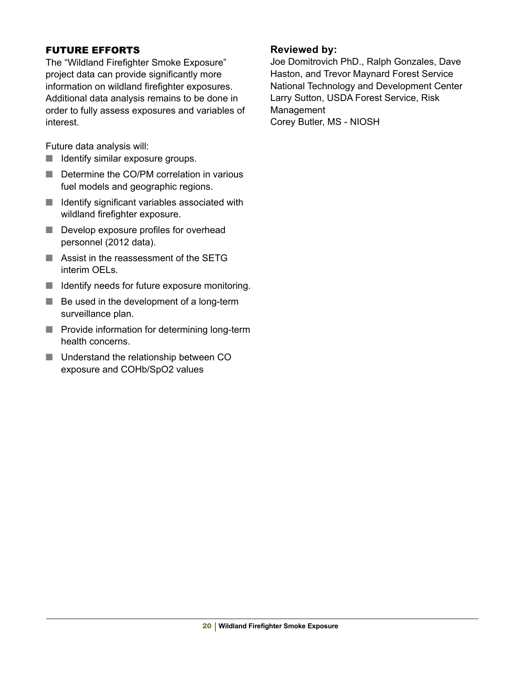#### FUTURE EFFORTS

The "Wildland Firefighter Smoke Exposure" project data can provide significantly more information on wildland firefighter exposures. Additional data analysis remains to be done in order to fully assess exposures and variables of interest.

Future data analysis will:

- Identify similar exposure groups.
- Determine the CO/PM correlation in various fuel models and geographic regions.
- Identify significant variables associated with wildland firefighter exposure.
- Develop exposure profiles for overhead personnel (2012 data).
- Assist in the reassessment of the SETG interim OELs.
- Identify needs for future exposure monitoring.
- Be used in the development of a long-term surveillance plan.
- Provide information for determining long-term health concerns.
- Understand the relationship between CO exposure and COHb/SpO2 values

#### **Reviewed by:**

Joe Domitrovich PhD., Ralph Gonzales, Dave Haston, and Trevor Maynard Forest Service National Technology and Development Center Larry Sutton, USDA Forest Service, Risk Management Corey Butler, MS - NIOSH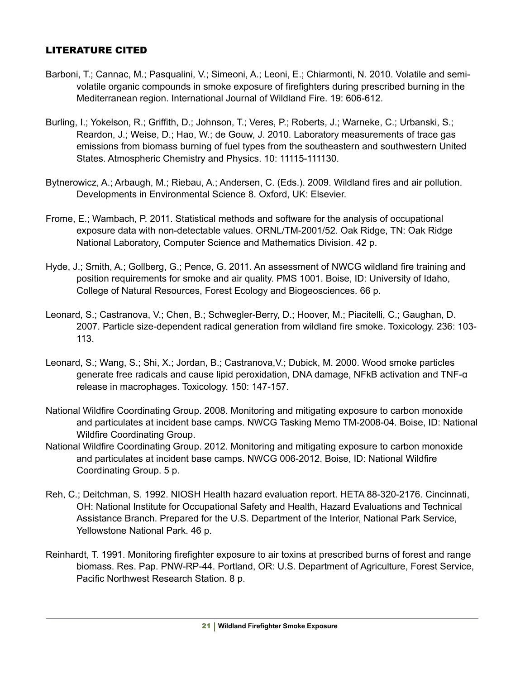#### LITERATURE CITED

- Barboni, T.; Cannac, M.; Pasqualini, V.; Simeoni, A.; Leoni, E.; Chiarmonti, N. 2010. Volatile and semivolatile organic compounds in smoke exposure of firefighters during prescribed burning in the Mediterranean region. International Journal of Wildland Fire. 19: 606-612.
- Burling, I.; Yokelson, R.; Griffith, D.; Johnson, T.; Veres, P.; Roberts, J.; Warneke, C.; Urbanski, S.; Reardon, J.; Weise, D.; Hao, W.; de Gouw, J. 2010. Laboratory measurements of trace gas emissions from biomass burning of fuel types from the southeastern and southwestern United States. Atmospheric Chemistry and Physics. 10: 11115-111130.
- Bytnerowicz, A.; Arbaugh, M.; Riebau, A.; Andersen, C. (Eds.). 2009. Wildland fires and air pollution. Developments in Environmental Science 8. Oxford, UK: Elsevier.
- Frome, E.; Wambach, P. 2011. Statistical methods and software for the analysis of occupational exposure data with non-detectable values. ORNL/TM-2001/52. Oak Ridge, TN: Oak Ridge National Laboratory, Computer Science and Mathematics Division. 42 p.
- Hyde, J.; Smith, A.; Gollberg, G.; Pence, G. 2011. An assessment of NWCG wildland fire training and position requirements for smoke and air quality. PMS 1001. Boise, ID: University of Idaho, College of Natural Resources, Forest Ecology and Biogeosciences. 66 p.
- Leonard, S.; Castranova, V.; Chen, B.; Schwegler-Berry, D.; Hoover, M.; Piacitelli, C.; Gaughan, D. 2007. Particle size-dependent radical generation from wildland fire smoke. Toxicology. 236: 103- 113.
- Leonard, S.; Wang, S.; Shi, X.; Jordan, B.; Castranova,V.; Dubick, M. 2000. Wood smoke particles generate free radicals and cause lipid peroxidation, DNA damage, NFkB activation and TNF-α release in macrophages. Toxicology. 150: 147-157.
- National Wildfire Coordinating Group. 2008. Monitoring and mitigating exposure to carbon monoxide and particulates at incident base camps. NWCG Tasking Memo TM-2008-04. Boise, ID: National Wildfire Coordinating Group.
- National Wildfire Coordinating Group. 2012. Monitoring and mitigating exposure to carbon monoxide and particulates at incident base camps. NWCG 006-2012. Boise, ID: National Wildfire Coordinating Group. 5 p.
- Reh, C.; Deitchman, S. 1992. NIOSH Health hazard evaluation report. HETA 88-320-2176. Cincinnati, OH: National Institute for Occupational Safety and Health, Hazard Evaluations and Technical Assistance Branch. Prepared for the U.S. Department of the Interior, National Park Service, Yellowstone National Park. 46 p.
- Reinhardt, T. 1991. Monitoring firefighter exposure to air toxins at prescribed burns of forest and range biomass. Res. Pap. PNW-RP-44. Portland, OR: U.S. Department of Agriculture, Forest Service, Pacific Northwest Research Station. 8 p.